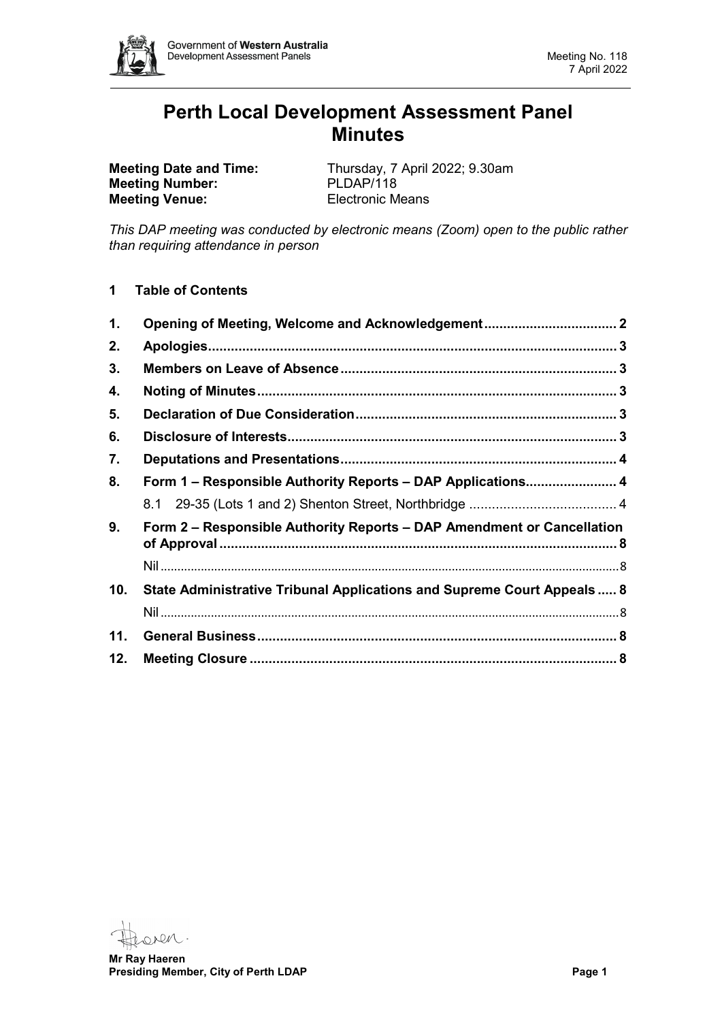

# **Perth Local Development Assessment Panel Minutes**

**Meeting Number:** PLDAP/118<br> **Meeting Venue:** Electronic Means **Meeting Venue:** 

**Meeting Date and Time:** Thursday, 7 April 2022; 9.30am<br> **Meeting Number:** PLDAP/118

*This DAP meeting was conducted by electronic means (Zoom) open to the public rather than requiring attendance in person*

**1 Table of Contents**

| 1.  | Opening of Meeting, Welcome and Acknowledgement 2                       |  |
|-----|-------------------------------------------------------------------------|--|
| 2.  |                                                                         |  |
| 3.  |                                                                         |  |
| 4.  |                                                                         |  |
| 5.  |                                                                         |  |
| 6.  |                                                                         |  |
| 7.  |                                                                         |  |
| 8.  | Form 1 - Responsible Authority Reports - DAP Applications 4             |  |
|     |                                                                         |  |
| 9.  | Form 2 – Responsible Authority Reports – DAP Amendment or Cancellation  |  |
|     |                                                                         |  |
| 10. | State Administrative Tribunal Applications and Supreme Court Appeals  8 |  |
|     |                                                                         |  |
| 11. |                                                                         |  |
| 12. |                                                                         |  |

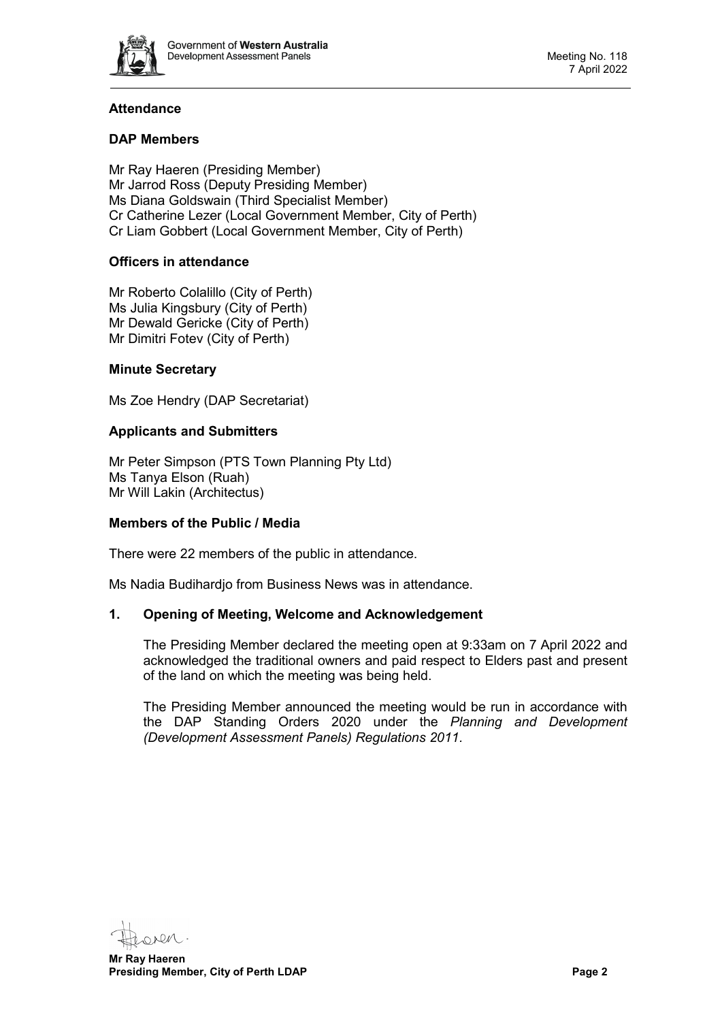

# **Attendance**

# **DAP Members**

Mr Ray Haeren (Presiding Member) Mr Jarrod Ross (Deputy Presiding Member) Ms Diana Goldswain (Third Specialist Member) Cr Catherine Lezer (Local Government Member, City of Perth) Cr Liam Gobbert (Local Government Member, City of Perth)

# **Officers in attendance**

Mr Roberto Colalillo (City of Perth) Ms Julia Kingsbury (City of Perth) Mr Dewald Gericke (City of Perth) Mr Dimitri Fotev (City of Perth)

# **Minute Secretary**

Ms Zoe Hendry (DAP Secretariat)

## **Applicants and Submitters**

Mr Peter Simpson (PTS Town Planning Pty Ltd) Ms Tanya Elson (Ruah) Mr Will Lakin (Architectus)

#### **Members of the Public / Media**

There were 22 members of the public in attendance.

<span id="page-1-0"></span>Ms Nadia Budihardjo from Business News was in attendance.

#### **1. Opening of Meeting, Welcome and Acknowledgement**

The Presiding Member declared the meeting open at 9:33am on 7 April 2022 and acknowledged the traditional owners and paid respect to Elders past and present of the land on which the meeting was being held.

The Presiding Member announced the meeting would be run in accordance with the DAP Standing Orders 2020 under the *Planning and Development (Development Assessment Panels) Regulations 2011.*

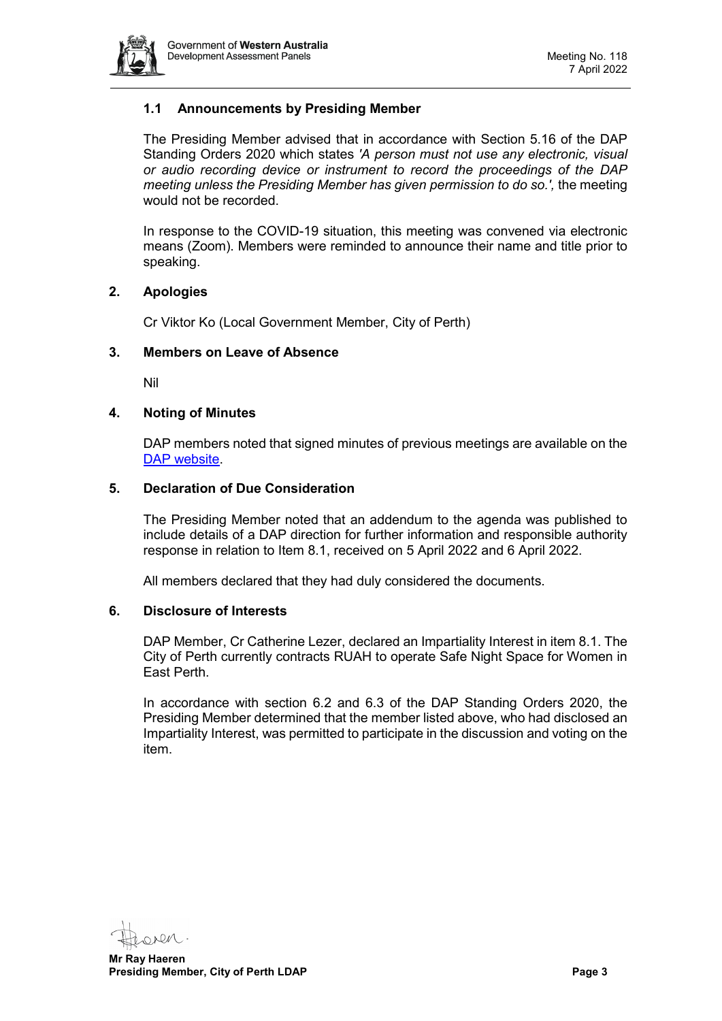

# **1.1 Announcements by Presiding Member**

The Presiding Member advised that in accordance with Section 5.16 of the DAP Standing Orders 2020 which states *'A person must not use any electronic, visual or audio recording device or instrument to record the proceedings of the DAP meeting unless the Presiding Member has given permission to do so.',* the meeting would not be recorded.

In response to the COVID-19 situation, this meeting was convened via electronic means (Zoom). Members were reminded to announce their name and title prior to speaking.

## <span id="page-2-0"></span>**2. Apologies**

Cr Viktor Ko (Local Government Member, City of Perth)

## <span id="page-2-1"></span>**3. Members on Leave of Absence**

Nil

## <span id="page-2-2"></span>**4. Noting of Minutes**

DAP members noted that signed minutes of previous meetings are available on the [DAP website.](https://www.dplh.wa.gov.au/about/development-assessment-panels/daps-agendas-and-minutes)

#### <span id="page-2-3"></span>**5. Declaration of Due Consideration**

The Presiding Member noted that an addendum to the agenda was published to include details of a DAP direction for further information and responsible authority response in relation to Item 8.1, received on 5 April 2022 and 6 April 2022.

All members declared that they had duly considered the documents.

#### <span id="page-2-4"></span>**6. Disclosure of Interests**

DAP Member, Cr Catherine Lezer, declared an Impartiality Interest in item 8.1. The City of Perth currently contracts RUAH to operate Safe Night Space for Women in East Perth.

In accordance with section 6.2 and 6.3 of the DAP Standing Orders 2020, the Presiding Member determined that the member listed above, who had disclosed an Impartiality Interest, was permitted to participate in the discussion and voting on the item.

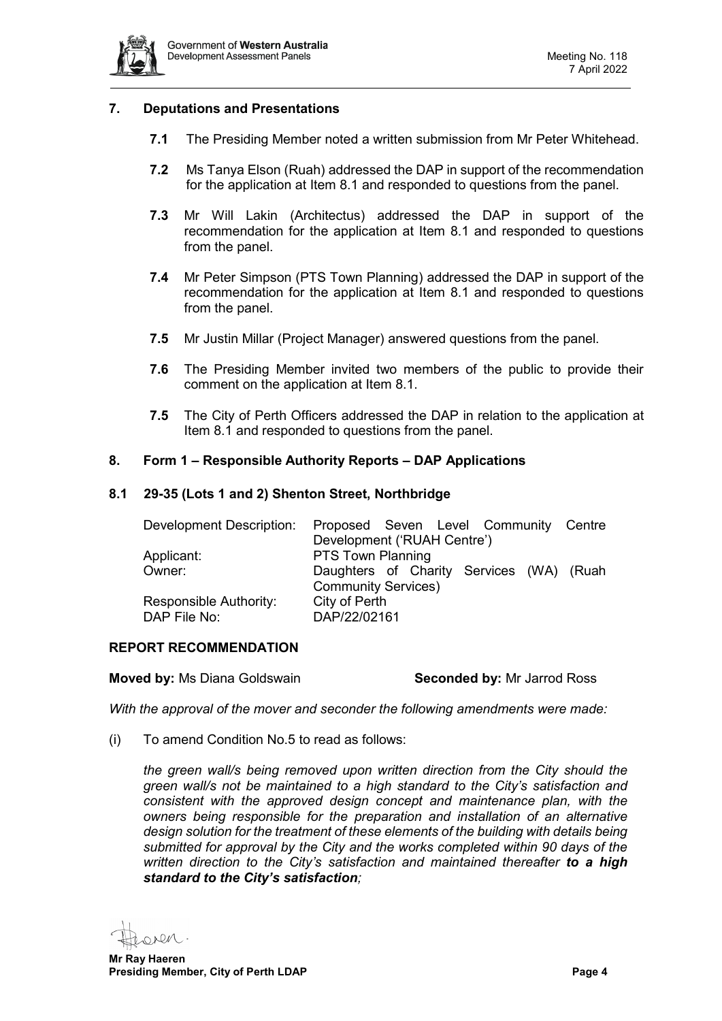

# <span id="page-3-0"></span>**7. Deputations and Presentations**

- **7.1** The Presiding Member noted a written submission from Mr Peter Whitehead.
- **7.2** Ms Tanya Elson (Ruah) addressed the DAP in support of the recommendation for the application at Item 8.1 and responded to questions from the panel.
- **7.3** Mr Will Lakin (Architectus) addressed the DAP in support of the recommendation for the application at Item 8.1 and responded to questions from the panel.
- **7.4** Mr Peter Simpson (PTS Town Planning) addressed the DAP in support of the recommendation for the application at Item 8.1 and responded to questions from the panel.
- **7.5** Mr Justin Millar (Project Manager) answered questions from the panel.
- **7.6** The Presiding Member invited two members of the public to provide their comment on the application at Item 8.1.
- **7.5** The City of Perth Officers addressed the DAP in relation to the application at Item 8.1 and responded to questions from the panel.

#### <span id="page-3-1"></span>**8. Form 1 – Responsible Authority Reports – DAP Applications**

#### <span id="page-3-2"></span>**8.1 29-35 (Lots 1 and 2) Shenton Street, Northbridge**

| Development Description: | Proposed Seven Level Community Centre    |  |  |  |  |  |  |
|--------------------------|------------------------------------------|--|--|--|--|--|--|
|                          | Development ('RUAH Centre')              |  |  |  |  |  |  |
| Applicant:               | <b>PTS Town Planning</b>                 |  |  |  |  |  |  |
| Owner:                   | Daughters of Charity Services (WA) (Ruah |  |  |  |  |  |  |
|                          | <b>Community Services)</b>               |  |  |  |  |  |  |
| Responsible Authority:   | City of Perth                            |  |  |  |  |  |  |
| DAP File No:             | DAP/22/02161                             |  |  |  |  |  |  |

#### **REPORT RECOMMENDATION**

**Moved by:** Ms Diana Goldswain **Seconded by:** Mr Jarrod Ross

*With the approval of the mover and seconder the following amendments were made:*

(i) To amend Condition No.5 to read as follows:

*the green wall/s being removed upon written direction from the City should the green wall/s not be maintained to a high standard to the City's satisfaction and consistent with the approved design concept and maintenance plan, with the owners being responsible for the preparation and installation of an alternative design solution for the treatment of these elements of the building with details being submitted for approval by the City and the works completed within 90 days of the written direction to the City's satisfaction and maintained thereafter to a high standard to the City's satisfaction;*

oven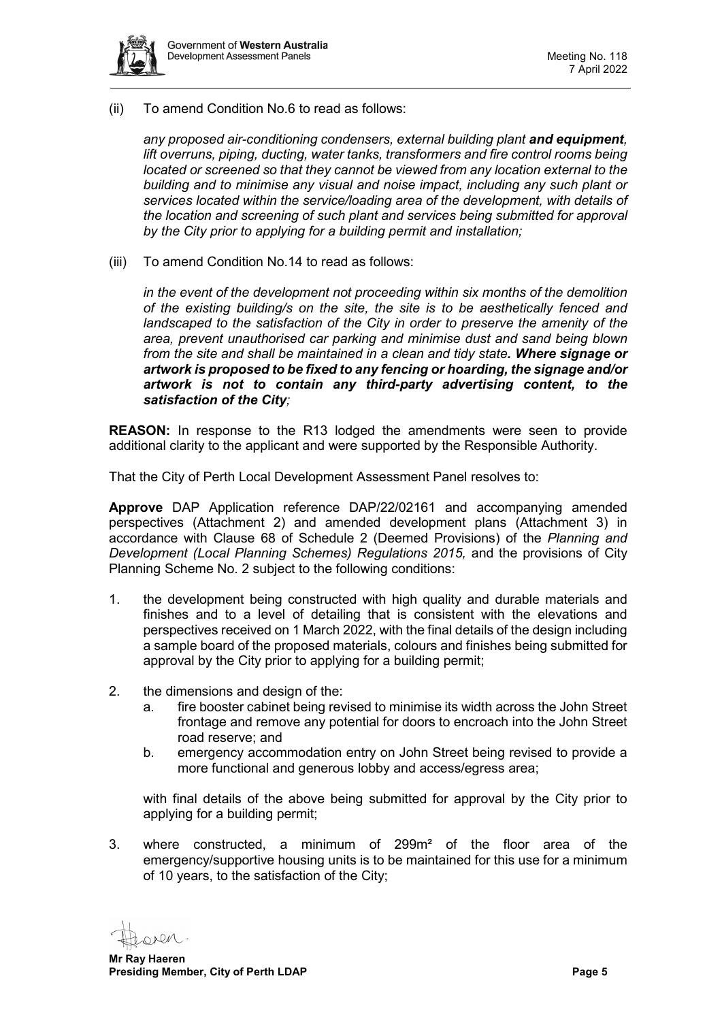

(ii) To amend Condition No.6 to read as follows:

*any proposed air-conditioning condensers, external building plant and equipment, lift overruns, piping, ducting, water tanks, transformers and fire control rooms being located or screened so that they cannot be viewed from any location external to the building and to minimise any visual and noise impact, including any such plant or services located within the service/loading area of the development, with details of the location and screening of such plant and services being submitted for approval by the City prior to applying for a building permit and installation;*

(iii) To amend Condition No.14 to read as follows:

*in the event of the development not proceeding within six months of the demolition of the existing building/s on the site, the site is to be aesthetically fenced and landscaped to the satisfaction of the City in order to preserve the amenity of the area, prevent unauthorised car parking and minimise dust and sand being blown from the site and shall be maintained in a clean and tidy state. Where signage or artwork is proposed to be fixed to any fencing or hoarding, the signage and/or artwork is not to contain any third-party advertising content, to the satisfaction of the City;* 

**REASON:** In response to the R13 lodged the amendments were seen to provide additional clarity to the applicant and were supported by the Responsible Authority.

That the City of Perth Local Development Assessment Panel resolves to:

**Approve** DAP Application reference DAP/22/02161 and accompanying amended perspectives (Attachment 2) and amended development plans (Attachment 3) in accordance with Clause 68 of Schedule 2 (Deemed Provisions) of the *Planning and Development (Local Planning Schemes) Regulations 2015,* and the provisions of City Planning Scheme No. 2 subject to the following conditions:

- 1. the development being constructed with high quality and durable materials and finishes and to a level of detailing that is consistent with the elevations and perspectives received on 1 March 2022, with the final details of the design including a sample board of the proposed materials, colours and finishes being submitted for approval by the City prior to applying for a building permit;
- 2. the dimensions and design of the:
	- a. fire booster cabinet being revised to minimise its width across the John Street frontage and remove any potential for doors to encroach into the John Street road reserve; and
	- b. emergency accommodation entry on John Street being revised to provide a more functional and generous lobby and access/egress area;

with final details of the above being submitted for approval by the City prior to applying for a building permit;

3. where constructed, a minimum of 299m² of the floor area of the emergency/supportive housing units is to be maintained for this use for a minimum of 10 years, to the satisfaction of the City;

ORRA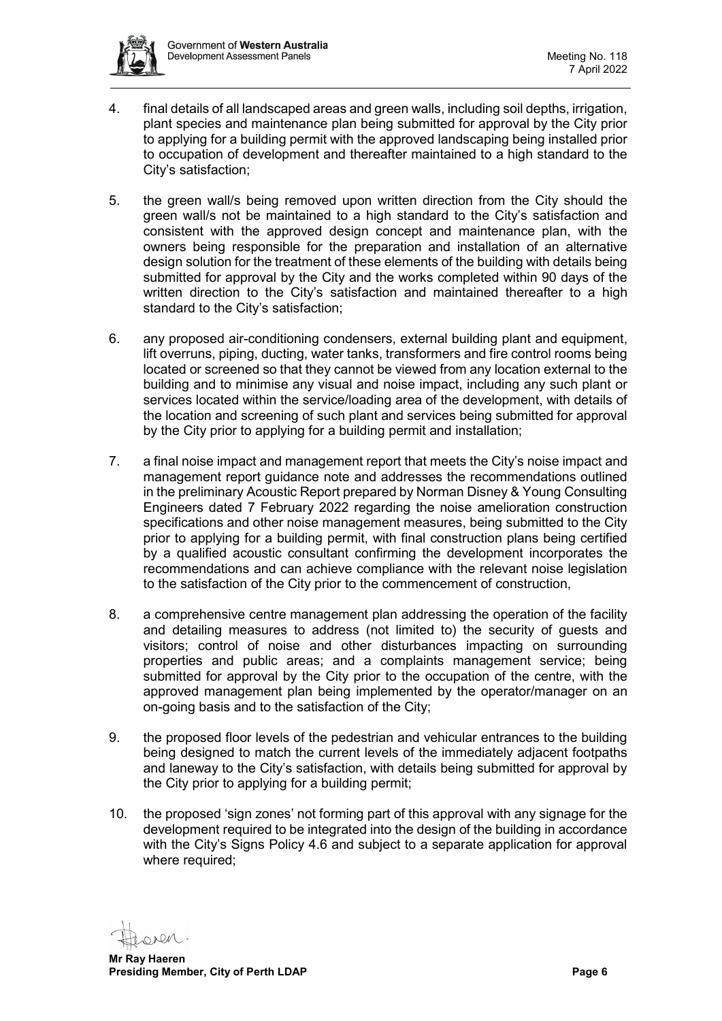

- 4. final details of all landscaped areas and green walls, including soil depths, irrigation, plant species and maintenance plan being submitted for approval by the City prior to applying for a building permit with the approved landscaping being installed prior to occupation of development and thereafter maintained to a high standard to the City's satisfaction;
- 5. the green wall/s being removed upon written direction from the City should the green wall/s not be maintained to a high standard to the City's satisfaction and consistent with the approved design concept and maintenance plan, with the owners being responsible for the preparation and installation of an alternative design solution for the treatment of these elements of the building with details being submitted for approval by the City and the works completed within 90 days of the written direction to the City's satisfaction and maintained thereafter to a high standard to the City's satisfaction;
- 6. any proposed air-conditioning condensers, external building plant and equipment, lift overruns, piping, ducting, water tanks, transformers and fire control rooms being located or screened so that they cannot be viewed from any location external to the building and to minimise any visual and noise impact, including any such plant or services located within the service/loading area of the development, with details of the location and screening of such plant and services being submitted for approval by the City prior to applying for a building permit and installation;
- 7. a final noise impact and management report that meets the City's noise impact and management report guidance note and addresses the recommendations outlined in the preliminary Acoustic Report prepared by Norman Disney & Young Consulting Engineers dated 7 February 2022 regarding the noise amelioration construction specifications and other noise management measures, being submitted to the City prior to applying for a building permit, with final construction plans being certified by a qualified acoustic consultant confirming the development incorporates the recommendations and can achieve compliance with the relevant noise legislation to the satisfaction of the City prior to the commencement of construction,
- 8. a comprehensive centre management plan addressing the operation of the facility and detailing measures to address (not limited to) the security of guests and visitors; control of noise and other disturbances impacting on surrounding properties and public areas; and a complaints management service; being submitted for approval by the City prior to the occupation of the centre, with the approved management plan being implemented by the operator/manager on an on-going basis and to the satisfaction of the City;
- 9. the proposed floor levels of the pedestrian and vehicular entrances to the building being designed to match the current levels of the immediately adjacent footpaths and laneway to the City's satisfaction, with details being submitted for approval by the City prior to applying for a building permit;
- 10. the proposed 'sign zones' not forming part of this approval with any signage for the development required to be integrated into the design of the building in accordance with the City's Signs Policy 4.6 and subject to a separate application for approval where required;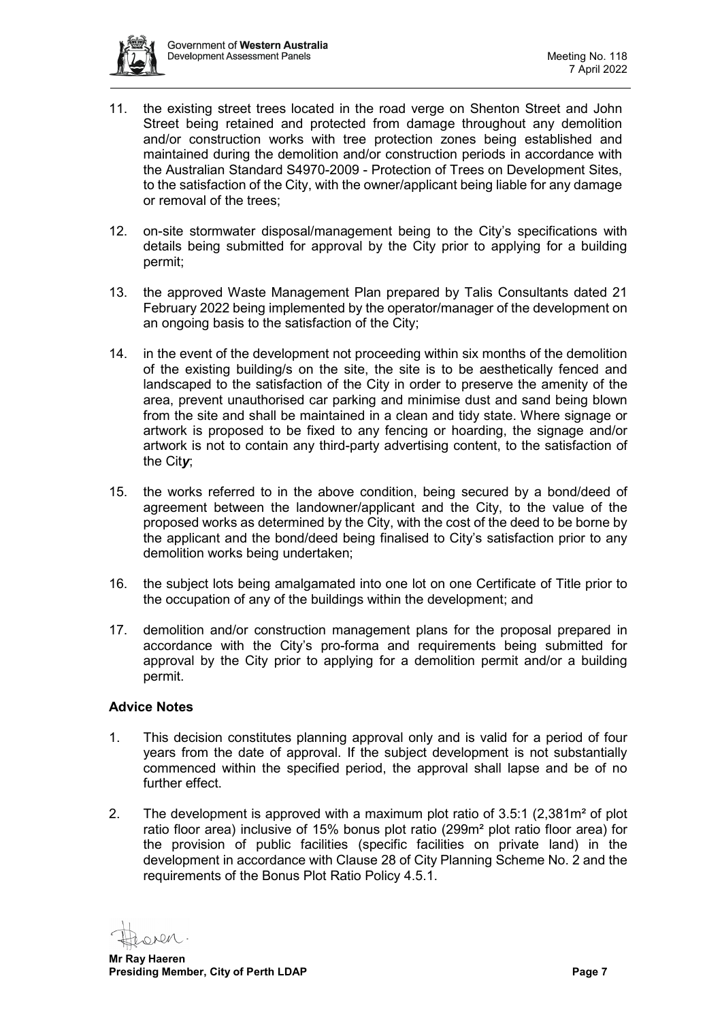

- 11. the existing street trees located in the road verge on Shenton Street and John Street being retained and protected from damage throughout any demolition and/or construction works with tree protection zones being established and maintained during the demolition and/or construction periods in accordance with the Australian Standard S4970-2009 - Protection of Trees on Development Sites, to the satisfaction of the City, with the owner/applicant being liable for any damage or removal of the trees;
- 12. on-site stormwater disposal/management being to the City's specifications with details being submitted for approval by the City prior to applying for a building permit;
- 13. the approved Waste Management Plan prepared by Talis Consultants dated 21 February 2022 being implemented by the operator/manager of the development on an ongoing basis to the satisfaction of the City;
- 14. in the event of the development not proceeding within six months of the demolition of the existing building/s on the site, the site is to be aesthetically fenced and landscaped to the satisfaction of the City in order to preserve the amenity of the area, prevent unauthorised car parking and minimise dust and sand being blown from the site and shall be maintained in a clean and tidy state. Where signage or artwork is proposed to be fixed to any fencing or hoarding, the signage and/or artwork is not to contain any third-party advertising content, to the satisfaction of the Cit*y*;
- 15. the works referred to in the above condition, being secured by a bond/deed of agreement between the landowner/applicant and the City, to the value of the proposed works as determined by the City, with the cost of the deed to be borne by the applicant and the bond/deed being finalised to City's satisfaction prior to any demolition works being undertaken;
- 16. the subject lots being amalgamated into one lot on one Certificate of Title prior to the occupation of any of the buildings within the development; and
- 17. demolition and/or construction management plans for the proposal prepared in accordance with the City's pro-forma and requirements being submitted for approval by the City prior to applying for a demolition permit and/or a building permit.

# **Advice Notes**

- 1. This decision constitutes planning approval only and is valid for a period of four years from the date of approval. If the subject development is not substantially commenced within the specified period, the approval shall lapse and be of no further effect.
- 2. The development is approved with a maximum plot ratio of 3.5:1 (2,381m² of plot ratio floor area) inclusive of 15% bonus plot ratio (299m² plot ratio floor area) for the provision of public facilities (specific facilities on private land) in the development in accordance with Clause 28 of City Planning Scheme No. 2 and the requirements of the Bonus Plot Ratio Policy 4.5.1.

**ADM**